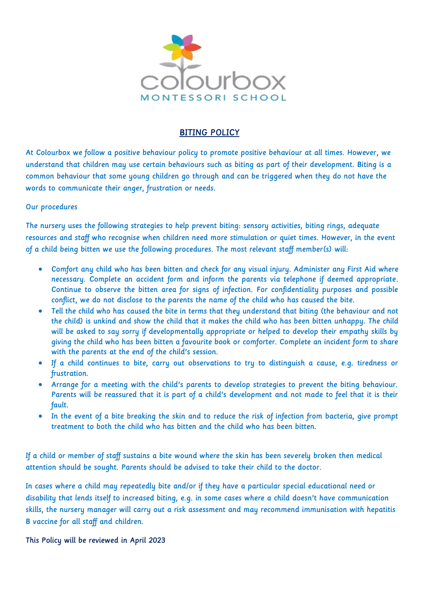

## BITING POLICY

At Colourbox we follow a positive behaviour policy to promote positive behaviour at all times. However, we understand that children may use certain behaviours such as biting as part of their development. Biting is a common behaviour that some young children go through and can be triggered when they do not have the words to communicate their anger, frustration or needs.

#### Our procedures

The nursery uses the following strategies to help prevent biting: sensory activities, biting rings, adequate resources and staff who recognise when children need more stimulation or quiet times. However, in the event of a child being bitten we use the following procedures. The most relevant staff member(s) will:

- Comfort any child who has been bitten and check for any visual injury. Administer any First Aid where necessary. Complete an accident form and inform the parents via telephone if deemed appropriate. Continue to observe the bitten area for signs of infection. For confidentiality purposes and possible conflict, we do not disclose to the parents the name of the child who has caused the bite.
- Tell the child who has caused the bite in terms that they understand that biting (the behaviour and not the child) is unkind and show the child that it makes the child who has been bitten unhappy. The child will be asked to say sorry if developmentally appropriate or helped to develop their empathy skills by giving the child who has been bitten a favourite book or comforter. Complete an incident form to share with the parents at the end of the child's session.
- If a child continues to bite, carry out observations to try to distinguish a cause, e.g. tiredness or frustration.
- Arrange for a meeting with the child's parents to develop strategies to prevent the biting behaviour. Parents will be reassured that it is part of a child's development and not made to feel that it is their fault.
- In the event of a bite breaking the skin and to reduce the risk of infection from bacteria, give prompt treatment to both the child who has bitten and the child who has been bitten.

If a child or member of staff sustains a bite wound where the skin has been severely broken then medical attention should be sought. Parents should be advised to take their child to the doctor.

In cases where a child may repeatedly bite and/or if they have a particular special educational need or disability that lends itself to increased biting, e.g. in some cases where a child doesn't have communication skills, the nursery manager will carry out a risk assessment and may recommend immunisation with hepatitis B vaccine for all staff and children.

This Policy will be reviewed in April 2023